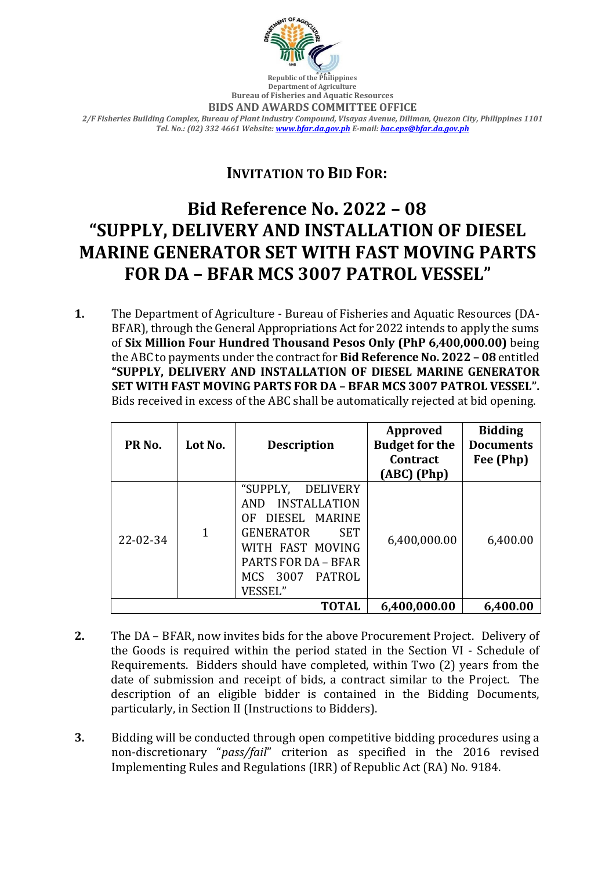

**Republic of the Philippines Department of Agriculture Bureau of Fisheries and Aquatic Resources**

**BIDS AND AWARDS COMMITTEE OFFICE**

*2/F Fisheries Building Complex, Bureau of Plant Industry Compound, Visayas Avenue, Diliman, Quezon City, Philippines 1101 Tel. No.: (02) 332 4661 Website[: www.bfar.da.gov.ph](http://www.bfar.da.gov.ph/) E-mail[: bac.eps@bfar.da.gov.ph](mailto:bac.eps@bfar.da.gov.ph)*

## **INVITATION TO BID FOR:**

## **Bid Reference No. 2022 – 08 "SUPPLY, DELIVERY AND INSTALLATION OF DIESEL MARINE GENERATOR SET WITH FAST MOVING PARTS FOR DA – BFAR MCS 3007 PATROL VESSEL"**

**1.** The Department of Agriculture - Bureau of Fisheries and Aquatic Resources (DA-BFAR), through the General Appropriations Act for 2022 intends to apply the sums of **Six Million Four Hundred Thousand Pesos Only (PhP 6,400,000.00)** being the ABC to payments under the contract for **Bid Reference No. 2022 – 08** entitled **"SUPPLY, DELIVERY AND INSTALLATION OF DIESEL MARINE GENERATOR SET WITH FAST MOVING PARTS FOR DA – BFAR MCS 3007 PATROL VESSEL".** Bids received in excess of the ABC shall be automatically rejected at bid opening.

| PR <sub>No.</sub> | Lot No. | <b>Description</b>                                                                                                                                                                                  | Approved<br><b>Budget for the</b><br>Contract<br>$(ABC)$ (Php) | <b>Bidding</b><br><b>Documents</b><br>Fee (Php) |
|-------------------|---------|-----------------------------------------------------------------------------------------------------------------------------------------------------------------------------------------------------|----------------------------------------------------------------|-------------------------------------------------|
| $22 - 02 - 34$    | 1       | "SUPPLY,<br>DELIVERY<br><b>INSTALLATION</b><br>AND<br>DIESEL MARINE<br>OF.<br><b>GENERATOR</b><br><b>SET</b><br>WITH FAST MOVING<br><b>PARTS FOR DA - BFAR</b><br>3007<br>PATROL<br>MCS.<br>VESSEL" | 6,400,000.00                                                   | 6,400.00                                        |
| <b>TOTAL</b>      |         |                                                                                                                                                                                                     | 6,400,000.00                                                   | 6,400.00                                        |

- **2.** The DA BFAR, now invites bids for the above Procurement Project. Delivery of the Goods is required within the period stated in the Section VI - Schedule of Requirements. Bidders should have completed, within Two (2) years from the date of submission and receipt of bids, a contract similar to the Project. The description of an eligible bidder is contained in the Bidding Documents, particularly, in Section II (Instructions to Bidders).
- **3.** Bidding will be conducted through open competitive bidding procedures using a non-discretionary "*pass/fail*" criterion as specified in the 2016 revised Implementing Rules and Regulations (IRR) of Republic Act (RA) No. 9184.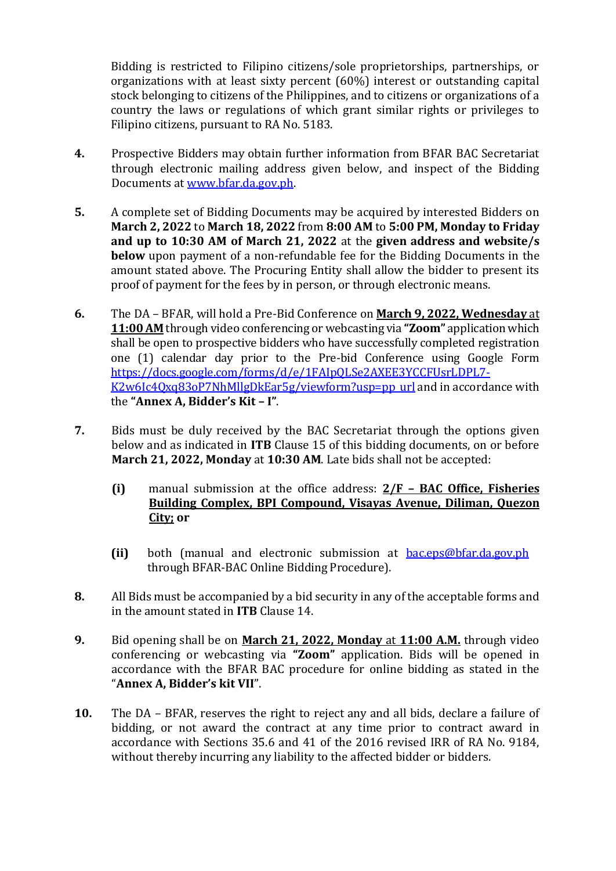Bidding is restricted to Filipino citizens/sole proprietorships, partnerships, or organizations with at least sixty percent (60%) interest or outstanding capital stock belonging to citizens of the Philippines, and to citizens or organizations of a country the laws or regulations of which grant similar rights or privileges to Filipino citizens, pursuant to RA No. 5183.

- **4.** Prospective Bidders may obtain further information from BFAR BAC Secretariat through electronic mailing address given below, and inspect of the Bidding Documents at [www.bfar.da.gov.ph.](http://www.bfar.da.gov.ph/)
- **5.** A complete set of Bidding Documents may be acquired by interested Bidders on **March 2, 2022** to **March 18, 2022** from **8:00 AM** to **5:00 PM, Monday to Friday and up to 10:30 AM of March 21, 2022** at the **given address and website/s below** upon payment of a non-refundable fee for the Bidding Documents in the amount stated above. The Procuring Entity shall allow the bidder to present its proof of payment for the fees by in person, or through electronic means.
- **6.** The DA BFAR, will hold a Pre-Bid Conference on **March 9, 2022, Wednesday** at **11:00 AM** through video conferencing or webcasting via **"Zoom"** application which shall be open to prospective bidders who have successfully completed registration one (1) calendar day prior to the Pre-bid Conference using Google Form [https://docs.google.com/forms/d/e/1FAIpQLSe2AXEE3YCCFUsrLDPL7-](https://docs.google.com/forms/d/e/1FAIpQLSe2AXEE3YCCFUsrLDPL7-K2w6Ic4Qxq83oP7NhMllgDkEar5g/viewform?usp=pp_url) [K2w6Ic4Qxq83oP7NhMllgDkEar5g/viewform?usp=pp\\_url](https://docs.google.com/forms/d/e/1FAIpQLSe2AXEE3YCCFUsrLDPL7-K2w6Ic4Qxq83oP7NhMllgDkEar5g/viewform?usp=pp_url) and in accordance with the **"Annex A, Bidder's Kit – I"**.
- **7.** Bids must be duly received by the BAC Secretariat through the options given below and as indicated in **ITB** Clause 15 of this bidding documents, on or before **March 21, 2022, Monday** at **10:30 AM**. Late bids shall not be accepted:
	- **(i)** manual submission at the office address: **2/F – BAC Office, Fisheries Building Complex, BPI Compound, Visayas Avenue, Diliman, Quezon City; or**
	- **(ii)** both (manual and electronic submission at [bac.eps@bfar.da.gov.ph](mailto:bac.eps@bfar.da.gov.ph) through BFAR-BAC Online Bidding Procedure).
- **8.** All Bids must be accompanied by a bid security in any of the acceptable forms and in the amount stated in **ITB** Clause 14.
- **9.** Bid opening shall be on **March 21, 2022, Monday** at **11:00 A.M.** through video conferencing or webcasting via **"Zoom"** application. Bids will be opened in accordance with the BFAR BAC procedure for online bidding as stated in the "**Annex A, Bidder's kit VII**".
- **10.** The DA BFAR, reserves the right to reject any and all bids, declare a failure of bidding, or not award the contract at any time prior to contract award in accordance with Sections 35.6 and 41 of the 2016 revised IRR of RA No. 9184, without thereby incurring any liability to the affected bidder or bidders.